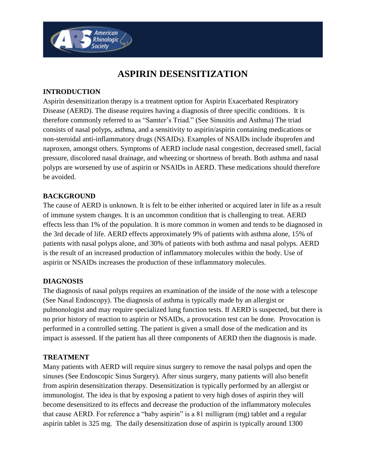# **ASPIRIN DESENSITIZATION**

# **INTRODUCTION**

American<br>Rhinologic <sub>(</sub> Society

Aspirin desensitization therapy is a treatment option for Aspirin Exacerbated Respiratory Disease (AERD). The disease requires having a diagnosis of three specific conditions. It is therefore commonly referred to as "Samter's Triad." (See Sinusitis and Asthma) The triad consists of nasal polyps, asthma, and a sensitivity to aspirin/aspirin containing medications or non-steroidal anti-inflammatory drugs (NSAIDs). Examples of NSAIDs include ibuprofen and naproxen, amongst others. Symptoms of AERD include nasal congestion, decreased smell, facial pressure, discolored nasal drainage, and wheezing or shortness of breath. Both asthma and nasal polyps are worsened by use of aspirin or NSAIDs in AERD. These medications should therefore be avoided.

## **BACKGROUND**

The cause of AERD is unknown. It is felt to be either inherited or acquired later in life as a result of immune system changes. It is an uncommon condition that is challenging to treat. AERD effects less than 1% of the population. It is more common in women and tends to be diagnosed in the 3rd decade of life. AERD effects approximately 9% of patients with asthma alone, 15% of patients with nasal polyps alone, and 30% of patients with both asthma and nasal polyps. AERD is the result of an increased production of inflammatory molecules within the body. Use of aspirin or NSAIDs increases the production of these inflammatory molecules.

## **DIAGNOSIS**

The diagnosis of nasal polyps requires an examination of the inside of the nose with a telescope (See Nasal Endoscopy). The diagnosis of asthma is typically made by an allergist or pulmonologist and may require specialized lung function tests. If AERD is suspected, but there is no prior history of reaction to aspirin or NSAIDs, a provocation test can be done. Provocation is performed in a controlled setting. The patient is given a small dose of the medication and its impact is assessed. If the patient has all three components of AERD then the diagnosis is made.

#### **TREATMENT**

Many patients with AERD will require sinus surgery to remove the nasal polyps and open the sinuses (See Endoscopic Sinus Surgery). After sinus surgery, many patients will also benefit from aspirin desensitization therapy. Desensitization is typically performed by an allergist or immunologist. The idea is that by exposing a patient to very high doses of aspirin they will become desensitized to its effects and decrease the production of the inflammatory molecules that cause AERD. For reference a "baby aspirin" is a 81 milligram (mg) tablet and a regular aspirin tablet is 325 mg. The daily desensitization dose of aspirin is typically around 1300